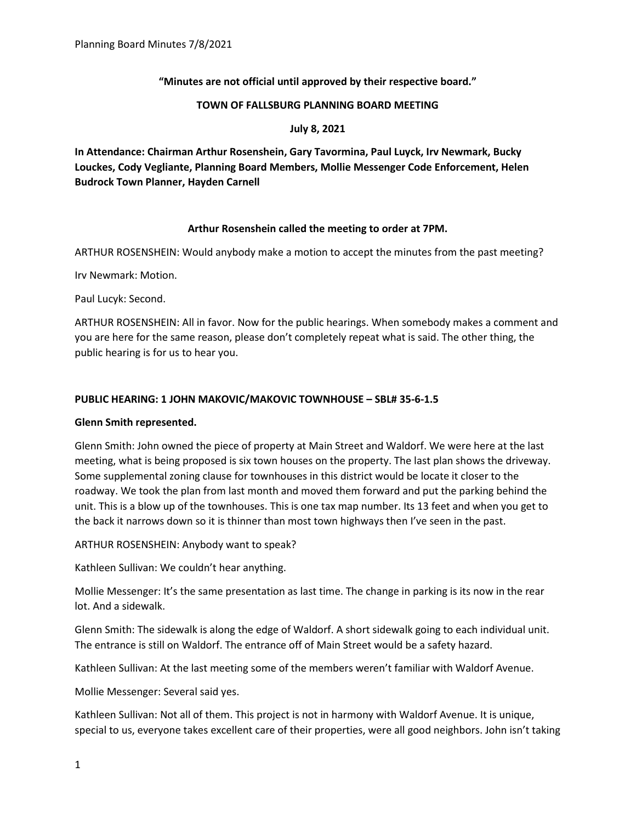# **"Minutes are not official until approved by their respective board."**

### **TOWN OF FALLSBURG PLANNING BOARD MEETING**

## **July 8, 2021**

**In Attendance: Chairman Arthur Rosenshein, Gary Tavormina, Paul Luyck, Irv Newmark, Bucky Louckes, Cody Vegliante, Planning Board Members, Mollie Messenger Code Enforcement, Helen Budrock Town Planner, Hayden Carnell**

# **Arthur Rosenshein called the meeting to order at 7PM.**

ARTHUR ROSENSHEIN: Would anybody make a motion to accept the minutes from the past meeting?

Irv Newmark: Motion.

Paul Lucyk: Second.

ARTHUR ROSENSHEIN: All in favor. Now for the public hearings. When somebody makes a comment and you are here for the same reason, please don't completely repeat what is said. The other thing, the public hearing is for us to hear you.

# **PUBLIC HEARING: 1 JOHN MAKOVIC/MAKOVIC TOWNHOUSE – SBL# 35-6-1.5**

### **Glenn Smith represented.**

Glenn Smith: John owned the piece of property at Main Street and Waldorf. We were here at the last meeting, what is being proposed is six town houses on the property. The last plan shows the driveway. Some supplemental zoning clause for townhouses in this district would be locate it closer to the roadway. We took the plan from last month and moved them forward and put the parking behind the unit. This is a blow up of the townhouses. This is one tax map number. Its 13 feet and when you get to the back it narrows down so it is thinner than most town highways then I've seen in the past.

ARTHUR ROSENSHEIN: Anybody want to speak?

Kathleen Sullivan: We couldn't hear anything.

Mollie Messenger: It's the same presentation as last time. The change in parking is its now in the rear lot. And a sidewalk.

Glenn Smith: The sidewalk is along the edge of Waldorf. A short sidewalk going to each individual unit. The entrance is still on Waldorf. The entrance off of Main Street would be a safety hazard.

Kathleen Sullivan: At the last meeting some of the members weren't familiar with Waldorf Avenue.

Mollie Messenger: Several said yes.

Kathleen Sullivan: Not all of them. This project is not in harmony with Waldorf Avenue. It is unique, special to us, everyone takes excellent care of their properties, were all good neighbors. John isn't taking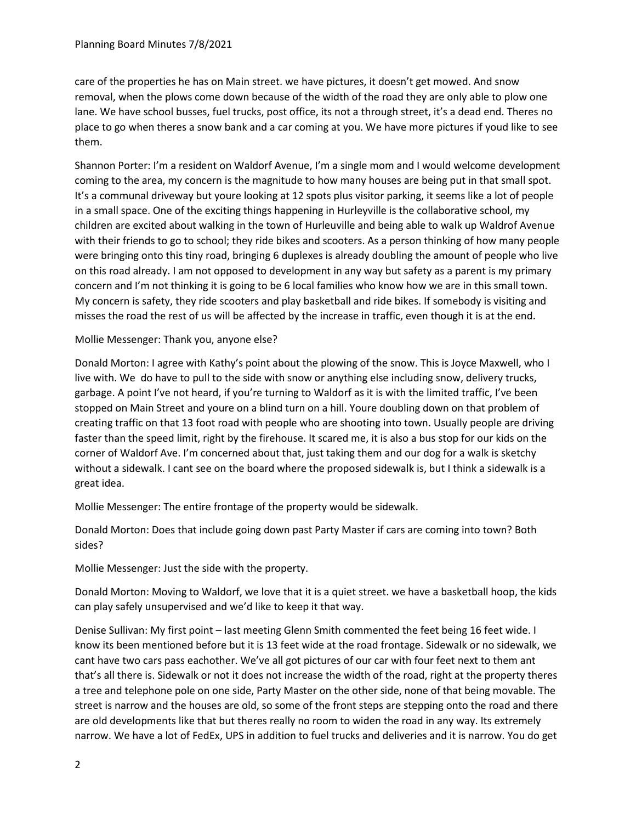care of the properties he has on Main street. we have pictures, it doesn't get mowed. And snow removal, when the plows come down because of the width of the road they are only able to plow one lane. We have school busses, fuel trucks, post office, its not a through street, it's a dead end. Theres no place to go when theres a snow bank and a car coming at you. We have more pictures if youd like to see them.

Shannon Porter: I'm a resident on Waldorf Avenue, I'm a single mom and I would welcome development coming to the area, my concern is the magnitude to how many houses are being put in that small spot. It's a communal driveway but youre looking at 12 spots plus visitor parking, it seems like a lot of people in a small space. One of the exciting things happening in Hurleyville is the collaborative school, my children are excited about walking in the town of Hurleuville and being able to walk up Waldrof Avenue with their friends to go to school; they ride bikes and scooters. As a person thinking of how many people were bringing onto this tiny road, bringing 6 duplexes is already doubling the amount of people who live on this road already. I am not opposed to development in any way but safety as a parent is my primary concern and I'm not thinking it is going to be 6 local families who know how we are in this small town. My concern is safety, they ride scooters and play basketball and ride bikes. If somebody is visiting and misses the road the rest of us will be affected by the increase in traffic, even though it is at the end.

Mollie Messenger: Thank you, anyone else?

Donald Morton: I agree with Kathy's point about the plowing of the snow. This is Joyce Maxwell, who I live with. We do have to pull to the side with snow or anything else including snow, delivery trucks, garbage. A point I've not heard, if you're turning to Waldorf as it is with the limited traffic, I've been stopped on Main Street and youre on a blind turn on a hill. Youre doubling down on that problem of creating traffic on that 13 foot road with people who are shooting into town. Usually people are driving faster than the speed limit, right by the firehouse. It scared me, it is also a bus stop for our kids on the corner of Waldorf Ave. I'm concerned about that, just taking them and our dog for a walk is sketchy without a sidewalk. I cant see on the board where the proposed sidewalk is, but I think a sidewalk is a great idea.

Mollie Messenger: The entire frontage of the property would be sidewalk.

Donald Morton: Does that include going down past Party Master if cars are coming into town? Both sides?

Mollie Messenger: Just the side with the property.

Donald Morton: Moving to Waldorf, we love that it is a quiet street. we have a basketball hoop, the kids can play safely unsupervised and we'd like to keep it that way.

Denise Sullivan: My first point – last meeting Glenn Smith commented the feet being 16 feet wide. I know its been mentioned before but it is 13 feet wide at the road frontage. Sidewalk or no sidewalk, we cant have two cars pass eachother. We've all got pictures of our car with four feet next to them ant that's all there is. Sidewalk or not it does not increase the width of the road, right at the property theres a tree and telephone pole on one side, Party Master on the other side, none of that being movable. The street is narrow and the houses are old, so some of the front steps are stepping onto the road and there are old developments like that but theres really no room to widen the road in any way. Its extremely narrow. We have a lot of FedEx, UPS in addition to fuel trucks and deliveries and it is narrow. You do get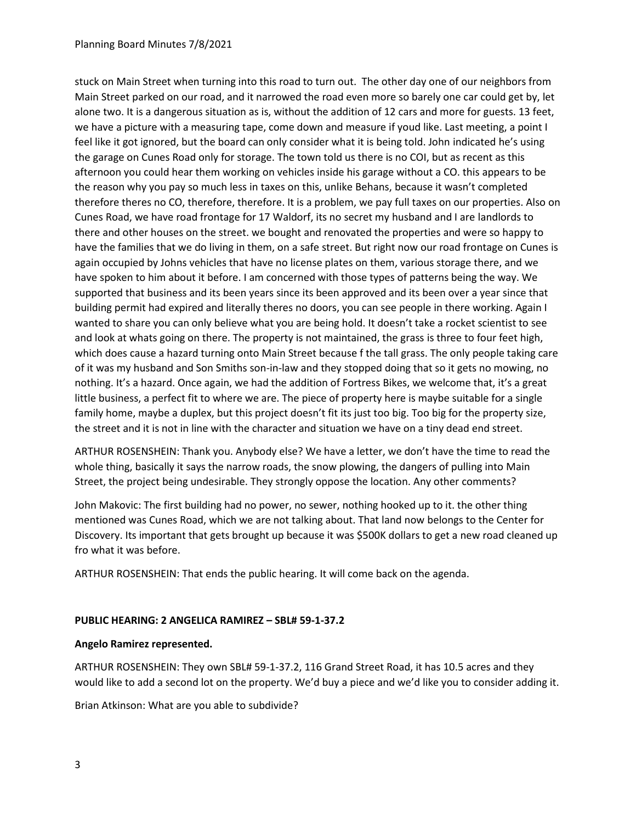### Planning Board Minutes 7/8/2021

stuck on Main Street when turning into this road to turn out. The other day one of our neighbors from Main Street parked on our road, and it narrowed the road even more so barely one car could get by, let alone two. It is a dangerous situation as is, without the addition of 12 cars and more for guests. 13 feet, we have a picture with a measuring tape, come down and measure if youd like. Last meeting, a point I feel like it got ignored, but the board can only consider what it is being told. John indicated he's using the garage on Cunes Road only for storage. The town told us there is no COI, but as recent as this afternoon you could hear them working on vehicles inside his garage without a CO. this appears to be the reason why you pay so much less in taxes on this, unlike Behans, because it wasn't completed therefore theres no CO, therefore, therefore. It is a problem, we pay full taxes on our properties. Also on Cunes Road, we have road frontage for 17 Waldorf, its no secret my husband and I are landlords to there and other houses on the street. we bought and renovated the properties and were so happy to have the families that we do living in them, on a safe street. But right now our road frontage on Cunes is again occupied by Johns vehicles that have no license plates on them, various storage there, and we have spoken to him about it before. I am concerned with those types of patterns being the way. We supported that business and its been years since its been approved and its been over a year since that building permit had expired and literally theres no doors, you can see people in there working. Again I wanted to share you can only believe what you are being hold. It doesn't take a rocket scientist to see and look at whats going on there. The property is not maintained, the grass is three to four feet high, which does cause a hazard turning onto Main Street because f the tall grass. The only people taking care of it was my husband and Son Smiths son-in-law and they stopped doing that so it gets no mowing, no nothing. It's a hazard. Once again, we had the addition of Fortress Bikes, we welcome that, it's a great little business, a perfect fit to where we are. The piece of property here is maybe suitable for a single family home, maybe a duplex, but this project doesn't fit its just too big. Too big for the property size, the street and it is not in line with the character and situation we have on a tiny dead end street.

ARTHUR ROSENSHEIN: Thank you. Anybody else? We have a letter, we don't have the time to read the whole thing, basically it says the narrow roads, the snow plowing, the dangers of pulling into Main Street, the project being undesirable. They strongly oppose the location. Any other comments?

John Makovic: The first building had no power, no sewer, nothing hooked up to it. the other thing mentioned was Cunes Road, which we are not talking about. That land now belongs to the Center for Discovery. Its important that gets brought up because it was \$500K dollars to get a new road cleaned up fro what it was before.

ARTHUR ROSENSHEIN: That ends the public hearing. It will come back on the agenda.

# **PUBLIC HEARING: 2 ANGELICA RAMIREZ – SBL# 59-1-37.2**

### **Angelo Ramirez represented.**

ARTHUR ROSENSHEIN: They own SBL# 59-1-37.2, 116 Grand Street Road, it has 10.5 acres and they would like to add a second lot on the property. We'd buy a piece and we'd like you to consider adding it.

Brian Atkinson: What are you able to subdivide?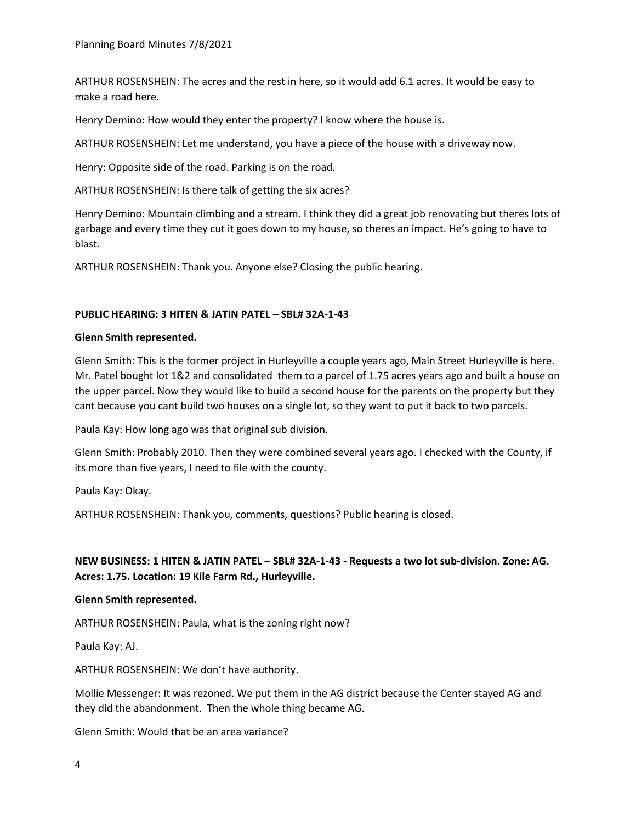ARTHUR ROSENSHEIN: The acres and the rest in here, so it would add 6.1 acres. It would be easy to make a road here.

Henry Demino: How would they enter the property? I know where the house is.

ARTHUR ROSENSHEIN: Let me understand, you have a piece of the house with a driveway now.

Henry: Opposite side of the road. Parking is on the road.

ARTHUR ROSENSHEIN: Is there talk of getting the six acres?

Henry Demino: Mountain climbing and a stream. I think they did a great job renovating but theres lots of garbage and every time they cut it goes down to my house, so theres an impact. He's going to have to blast.

ARTHUR ROSENSHEIN: Thank you. Anyone else? Closing the public hearing.

## **PUBLIC HEARING: 3 HITEN & JATIN PATEL – SBL# 32A-1-43**

### **Glenn Smith represented.**

Glenn Smith: This is the former project in Hurleyville a couple years ago, Main Street Hurleyville is here. Mr. Patel bought lot 1&2 and consolidated them to a parcel of 1.75 acres years ago and built a house on the upper parcel. Now they would like to build a second house for the parents on the property but they cant because you cant build two houses on a single lot, so they want to put it back to two parcels.

Paula Kay: How long ago was that original sub division.

Glenn Smith: Probably 2010. Then they were combined several years ago. I checked with the County, if its more than five years, I need to file with the county.

Paula Kay: Okay.

ARTHUR ROSENSHEIN: Thank you, comments, questions? Public hearing is closed.

# **NEW BUSINESS: 1 HITEN & JATIN PATEL – SBL# 32A-1-43 - Requests a two lot sub-division. Zone: AG. Acres: 1.75. Location: 19 Kile Farm Rd., Hurleyville.**

### **Glenn Smith represented.**

ARTHUR ROSENSHEIN: Paula, what is the zoning right now?

Paula Kay: AJ.

ARTHUR ROSENSHEIN: We don't have authority.

Mollie Messenger: It was rezoned. We put them in the AG district because the Center stayed AG and they did the abandonment. Then the whole thing became AG.

Glenn Smith: Would that be an area variance?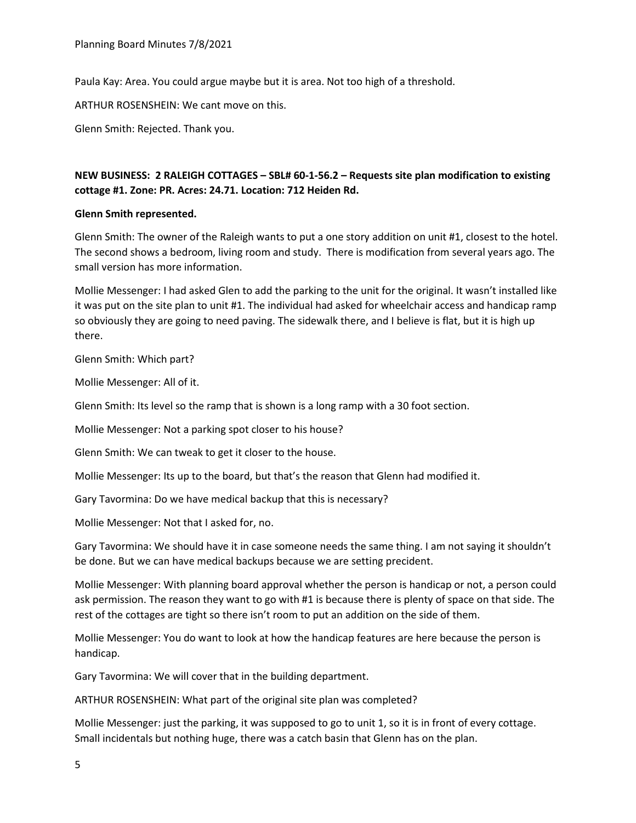Paula Kay: Area. You could argue maybe but it is area. Not too high of a threshold.

ARTHUR ROSENSHEIN: We cant move on this.

Glenn Smith: Rejected. Thank you.

# **NEW BUSINESS: 2 RALEIGH COTTAGES – SBL# 60-1-56.2 – Requests site plan modification to existing cottage #1. Zone: PR. Acres: 24.71. Location: 712 Heiden Rd.**

### **Glenn Smith represented.**

Glenn Smith: The owner of the Raleigh wants to put a one story addition on unit #1, closest to the hotel. The second shows a bedroom, living room and study. There is modification from several years ago. The small version has more information.

Mollie Messenger: I had asked Glen to add the parking to the unit for the original. It wasn't installed like it was put on the site plan to unit #1. The individual had asked for wheelchair access and handicap ramp so obviously they are going to need paving. The sidewalk there, and I believe is flat, but it is high up there.

Glenn Smith: Which part?

Mollie Messenger: All of it.

Glenn Smith: Its level so the ramp that is shown is a long ramp with a 30 foot section.

Mollie Messenger: Not a parking spot closer to his house?

Glenn Smith: We can tweak to get it closer to the house.

Mollie Messenger: Its up to the board, but that's the reason that Glenn had modified it.

Gary Tavormina: Do we have medical backup that this is necessary?

Mollie Messenger: Not that I asked for, no.

Gary Tavormina: We should have it in case someone needs the same thing. I am not saying it shouldn't be done. But we can have medical backups because we are setting precident.

Mollie Messenger: With planning board approval whether the person is handicap or not, a person could ask permission. The reason they want to go with #1 is because there is plenty of space on that side. The rest of the cottages are tight so there isn't room to put an addition on the side of them.

Mollie Messenger: You do want to look at how the handicap features are here because the person is handicap.

Gary Tavormina: We will cover that in the building department.

ARTHUR ROSENSHEIN: What part of the original site plan was completed?

Mollie Messenger: just the parking, it was supposed to go to unit 1, so it is in front of every cottage. Small incidentals but nothing huge, there was a catch basin that Glenn has on the plan.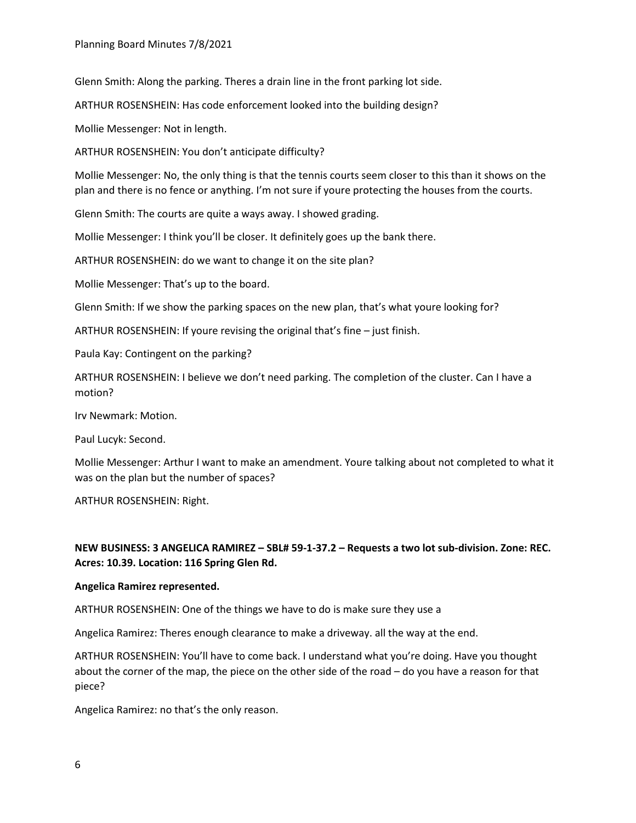Glenn Smith: Along the parking. Theres a drain line in the front parking lot side.

ARTHUR ROSENSHEIN: Has code enforcement looked into the building design?

Mollie Messenger: Not in length.

ARTHUR ROSENSHEIN: You don't anticipate difficulty?

Mollie Messenger: No, the only thing is that the tennis courts seem closer to this than it shows on the plan and there is no fence or anything. I'm not sure if youre protecting the houses from the courts.

Glenn Smith: The courts are quite a ways away. I showed grading.

Mollie Messenger: I think you'll be closer. It definitely goes up the bank there.

ARTHUR ROSENSHEIN: do we want to change it on the site plan?

Mollie Messenger: That's up to the board.

Glenn Smith: If we show the parking spaces on the new plan, that's what youre looking for?

ARTHUR ROSENSHEIN: If youre revising the original that's fine – just finish.

Paula Kay: Contingent on the parking?

ARTHUR ROSENSHEIN: I believe we don't need parking. The completion of the cluster. Can I have a motion?

Irv Newmark: Motion.

Paul Lucyk: Second.

Mollie Messenger: Arthur I want to make an amendment. Youre talking about not completed to what it was on the plan but the number of spaces?

ARTHUR ROSENSHEIN: Right.

# **NEW BUSINESS: 3 ANGELICA RAMIREZ – SBL# 59-1-37.2 – Requests a two lot sub-division. Zone: REC. Acres: 10.39. Location: 116 Spring Glen Rd.**

### **Angelica Ramirez represented.**

ARTHUR ROSENSHEIN: One of the things we have to do is make sure they use a

Angelica Ramirez: Theres enough clearance to make a driveway. all the way at the end.

ARTHUR ROSENSHEIN: You'll have to come back. I understand what you're doing. Have you thought about the corner of the map, the piece on the other side of the road – do you have a reason for that piece?

Angelica Ramirez: no that's the only reason.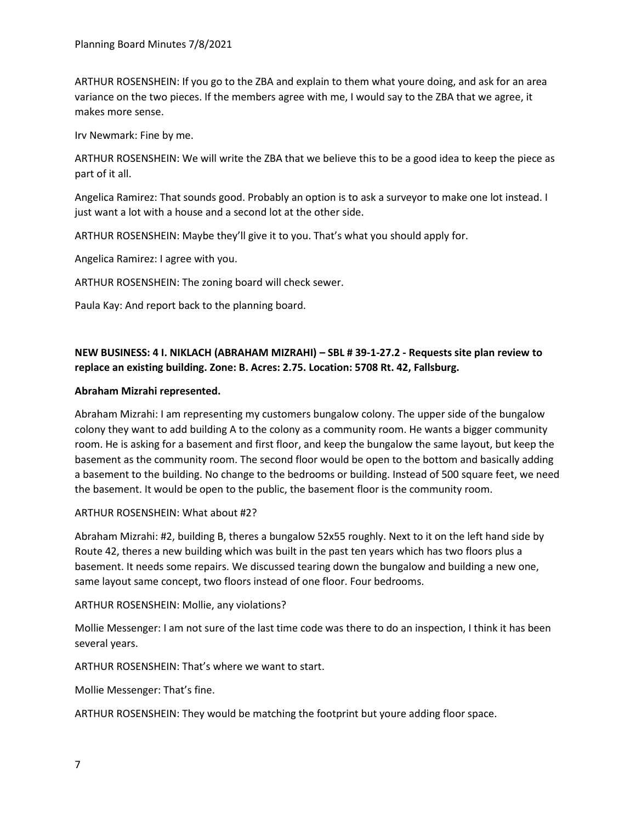ARTHUR ROSENSHEIN: If you go to the ZBA and explain to them what youre doing, and ask for an area variance on the two pieces. If the members agree with me, I would say to the ZBA that we agree, it makes more sense.

Irv Newmark: Fine by me.

ARTHUR ROSENSHEIN: We will write the ZBA that we believe this to be a good idea to keep the piece as part of it all.

Angelica Ramirez: That sounds good. Probably an option is to ask a surveyor to make one lot instead. I just want a lot with a house and a second lot at the other side.

ARTHUR ROSENSHEIN: Maybe they'll give it to you. That's what you should apply for.

Angelica Ramirez: I agree with you.

ARTHUR ROSENSHEIN: The zoning board will check sewer.

Paula Kay: And report back to the planning board.

# **NEW BUSINESS: 4 I. NIKLACH (ABRAHAM MIZRAHI) – SBL # 39-1-27.2 - Requests site plan review to replace an existing building. Zone: B. Acres: 2.75. Location: 5708 Rt. 42, Fallsburg.**

### **Abraham Mizrahi represented.**

Abraham Mizrahi: I am representing my customers bungalow colony. The upper side of the bungalow colony they want to add building A to the colony as a community room. He wants a bigger community room. He is asking for a basement and first floor, and keep the bungalow the same layout, but keep the basement as the community room. The second floor would be open to the bottom and basically adding a basement to the building. No change to the bedrooms or building. Instead of 500 square feet, we need the basement. It would be open to the public, the basement floor is the community room.

### ARTHUR ROSENSHEIN: What about #2?

Abraham Mizrahi: #2, building B, theres a bungalow 52x55 roughly. Next to it on the left hand side by Route 42, theres a new building which was built in the past ten years which has two floors plus a basement. It needs some repairs. We discussed tearing down the bungalow and building a new one, same layout same concept, two floors instead of one floor. Four bedrooms.

ARTHUR ROSENSHEIN: Mollie, any violations?

Mollie Messenger: I am not sure of the last time code was there to do an inspection, I think it has been several years.

ARTHUR ROSENSHEIN: That's where we want to start.

Mollie Messenger: That's fine.

ARTHUR ROSENSHEIN: They would be matching the footprint but youre adding floor space.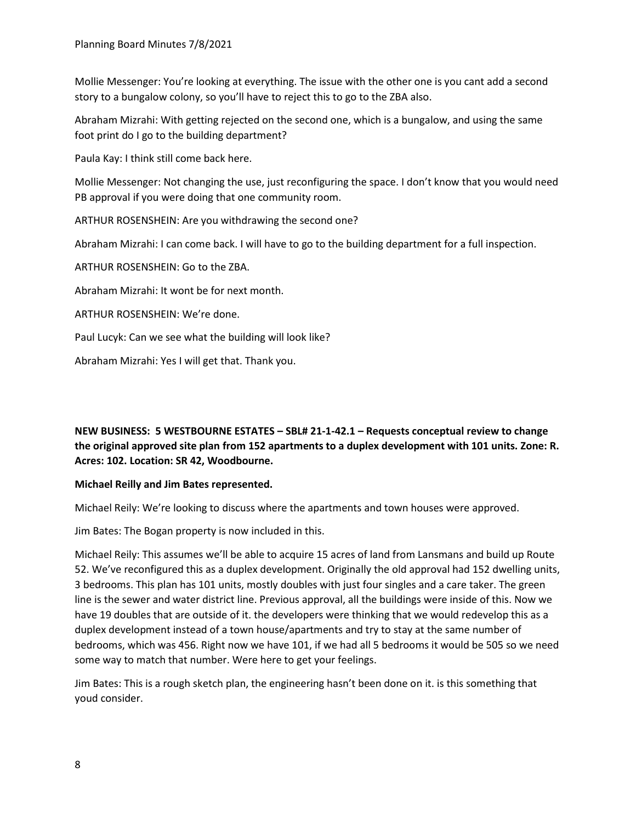Mollie Messenger: You're looking at everything. The issue with the other one is you cant add a second story to a bungalow colony, so you'll have to reject this to go to the ZBA also.

Abraham Mizrahi: With getting rejected on the second one, which is a bungalow, and using the same foot print do I go to the building department?

Paula Kay: I think still come back here.

Mollie Messenger: Not changing the use, just reconfiguring the space. I don't know that you would need PB approval if you were doing that one community room.

ARTHUR ROSENSHEIN: Are you withdrawing the second one?

Abraham Mizrahi: I can come back. I will have to go to the building department for a full inspection.

ARTHUR ROSENSHEIN: Go to the ZBA.

Abraham Mizrahi: It wont be for next month.

ARTHUR ROSENSHEIN: We're done.

Paul Lucyk: Can we see what the building will look like?

Abraham Mizrahi: Yes I will get that. Thank you.

# **NEW BUSINESS: 5 WESTBOURNE ESTATES – SBL# 21-1-42.1 – Requests conceptual review to change the original approved site plan from 152 apartments to a duplex development with 101 units. Zone: R. Acres: 102. Location: SR 42, Woodbourne.**

# **Michael Reilly and Jim Bates represented.**

Michael Reily: We're looking to discuss where the apartments and town houses were approved.

Jim Bates: The Bogan property is now included in this.

Michael Reily: This assumes we'll be able to acquire 15 acres of land from Lansmans and build up Route 52. We've reconfigured this as a duplex development. Originally the old approval had 152 dwelling units, 3 bedrooms. This plan has 101 units, mostly doubles with just four singles and a care taker. The green line is the sewer and water district line. Previous approval, all the buildings were inside of this. Now we have 19 doubles that are outside of it. the developers were thinking that we would redevelop this as a duplex development instead of a town house/apartments and try to stay at the same number of bedrooms, which was 456. Right now we have 101, if we had all 5 bedrooms it would be 505 so we need some way to match that number. Were here to get your feelings.

Jim Bates: This is a rough sketch plan, the engineering hasn't been done on it. is this something that youd consider.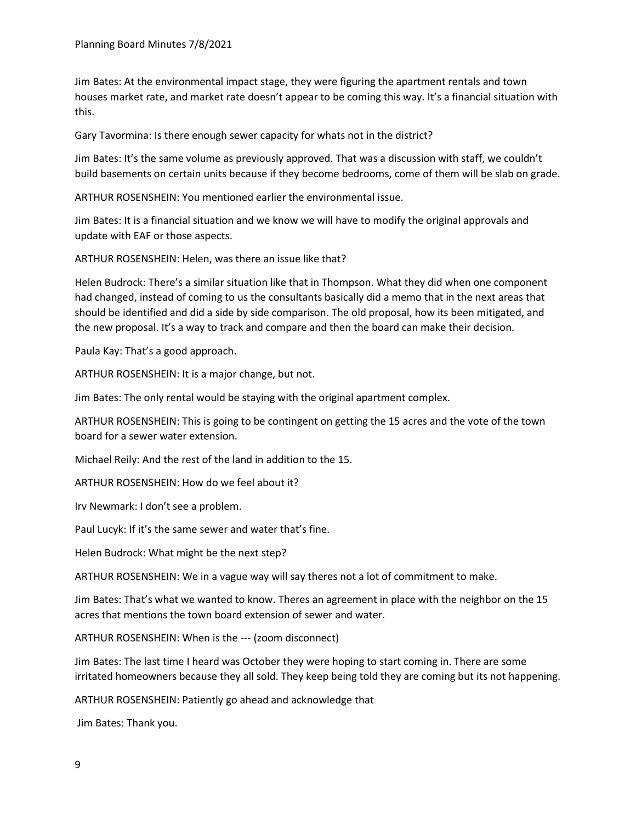Jim Bates: At the environmental impact stage, they were figuring the apartment rentals and town houses market rate, and market rate doesn't appear to be coming this way. It's a financial situation with this.

Gary Tavormina: Is there enough sewer capacity for whats not in the district?

Jim Bates: It's the same volume as previously approved. That was a discussion with staff, we couldn't build basements on certain units because if they become bedrooms, come of them will be slab on grade.

ARTHUR ROSENSHEIN: You mentioned earlier the environmental issue.

Jim Bates: It is a financial situation and we know we will have to modify the original approvals and update with EAF or those aspects.

ARTHUR ROSENSHEIN: Helen, was there an issue like that?

Helen Budrock: There's a similar situation like that in Thompson. What they did when one component had changed, instead of coming to us the consultants basically did a memo that in the next areas that should be identified and did a side by side comparison. The old proposal, how its been mitigated, and the new proposal. It's a way to track and compare and then the board can make their decision.

Paula Kay: That's a good approach.

ARTHUR ROSENSHEIN: It is a major change, but not.

Jim Bates: The only rental would be staying with the original apartment complex.

ARTHUR ROSENSHEIN: This is going to be contingent on getting the 15 acres and the vote of the town board for a sewer water extension.

Michael Reily: And the rest of the land in addition to the 15.

ARTHUR ROSENSHEIN: How do we feel about it?

Irv Newmark: I don't see a problem.

Paul Lucyk: If it's the same sewer and water that's fine.

Helen Budrock: What might be the next step?

ARTHUR ROSENSHEIN: We in a vague way will say theres not a lot of commitment to make.

Jim Bates: That's what we wanted to know. Theres an agreement in place with the neighbor on the 15 acres that mentions the town board extension of sewer and water.

ARTHUR ROSENSHEIN: When is the --- (zoom disconnect)

Jim Bates: The last time I heard was October they were hoping to start coming in. There are some irritated homeowners because they all sold. They keep being told they are coming but its not happening.

ARTHUR ROSENSHEIN: Patiently go ahead and acknowledge that

Jim Bates: Thank you.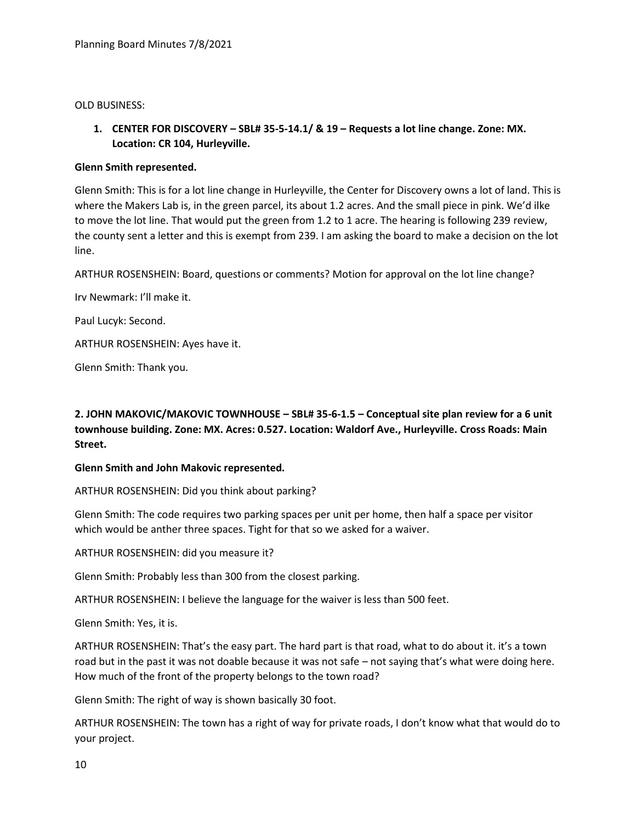OLD BUSINESS:

**1. CENTER FOR DISCOVERY – SBL# 35-5-14.1/ & 19 – Requests a lot line change. Zone: MX. Location: CR 104, Hurleyville.**

## **Glenn Smith represented.**

Glenn Smith: This is for a lot line change in Hurleyville, the Center for Discovery owns a lot of land. This is where the Makers Lab is, in the green parcel, its about 1.2 acres. And the small piece in pink. We'd ilke to move the lot line. That would put the green from 1.2 to 1 acre. The hearing is following 239 review, the county sent a letter and this is exempt from 239. I am asking the board to make a decision on the lot line.

ARTHUR ROSENSHEIN: Board, questions or comments? Motion for approval on the lot line change?

Irv Newmark: I'll make it.

Paul Lucyk: Second.

ARTHUR ROSENSHEIN: Ayes have it.

Glenn Smith: Thank you.

**2. JOHN MAKOVIC/MAKOVIC TOWNHOUSE – SBL# 35-6-1.5 – Conceptual site plan review for a 6 unit townhouse building. Zone: MX. Acres: 0.527. Location: Waldorf Ave., Hurleyville. Cross Roads: Main Street.**

### **Glenn Smith and John Makovic represented.**

ARTHUR ROSENSHEIN: Did you think about parking?

Glenn Smith: The code requires two parking spaces per unit per home, then half a space per visitor which would be anther three spaces. Tight for that so we asked for a waiver.

ARTHUR ROSENSHEIN: did you measure it?

Glenn Smith: Probably less than 300 from the closest parking.

ARTHUR ROSENSHEIN: I believe the language for the waiver is less than 500 feet.

Glenn Smith: Yes, it is.

ARTHUR ROSENSHEIN: That's the easy part. The hard part is that road, what to do about it. it's a town road but in the past it was not doable because it was not safe – not saying that's what were doing here. How much of the front of the property belongs to the town road?

Glenn Smith: The right of way is shown basically 30 foot.

ARTHUR ROSENSHEIN: The town has a right of way for private roads, I don't know what that would do to your project.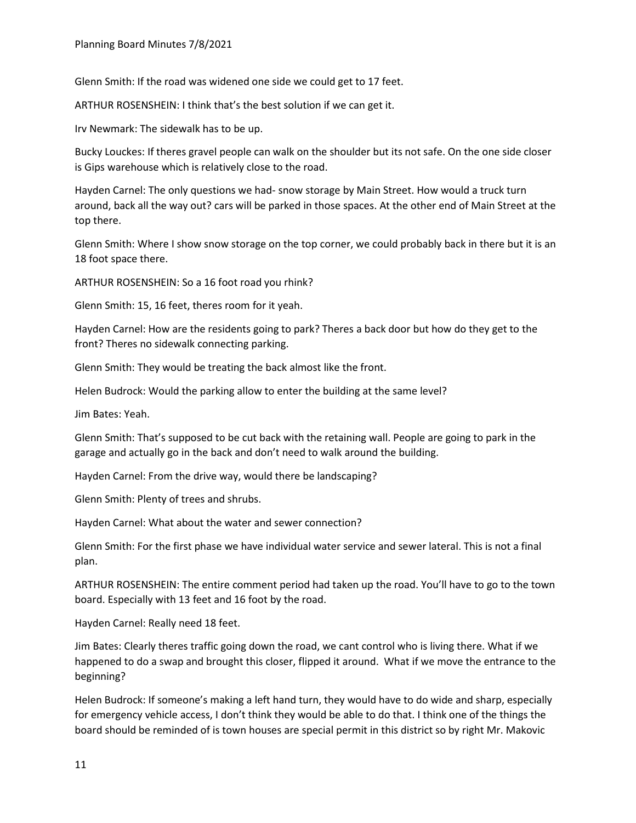Glenn Smith: If the road was widened one side we could get to 17 feet.

ARTHUR ROSENSHEIN: I think that's the best solution if we can get it.

Irv Newmark: The sidewalk has to be up.

Bucky Louckes: If theres gravel people can walk on the shoulder but its not safe. On the one side closer is Gips warehouse which is relatively close to the road.

Hayden Carnel: The only questions we had- snow storage by Main Street. How would a truck turn around, back all the way out? cars will be parked in those spaces. At the other end of Main Street at the top there.

Glenn Smith: Where I show snow storage on the top corner, we could probably back in there but it is an 18 foot space there.

ARTHUR ROSENSHEIN: So a 16 foot road you rhink?

Glenn Smith: 15, 16 feet, theres room for it yeah.

Hayden Carnel: How are the residents going to park? Theres a back door but how do they get to the front? Theres no sidewalk connecting parking.

Glenn Smith: They would be treating the back almost like the front.

Helen Budrock: Would the parking allow to enter the building at the same level?

Jim Bates: Yeah.

Glenn Smith: That's supposed to be cut back with the retaining wall. People are going to park in the garage and actually go in the back and don't need to walk around the building.

Hayden Carnel: From the drive way, would there be landscaping?

Glenn Smith: Plenty of trees and shrubs.

Hayden Carnel: What about the water and sewer connection?

Glenn Smith: For the first phase we have individual water service and sewer lateral. This is not a final plan.

ARTHUR ROSENSHEIN: The entire comment period had taken up the road. You'll have to go to the town board. Especially with 13 feet and 16 foot by the road.

Hayden Carnel: Really need 18 feet.

Jim Bates: Clearly theres traffic going down the road, we cant control who is living there. What if we happened to do a swap and brought this closer, flipped it around. What if we move the entrance to the beginning?

Helen Budrock: If someone's making a left hand turn, they would have to do wide and sharp, especially for emergency vehicle access, I don't think they would be able to do that. I think one of the things the board should be reminded of is town houses are special permit in this district so by right Mr. Makovic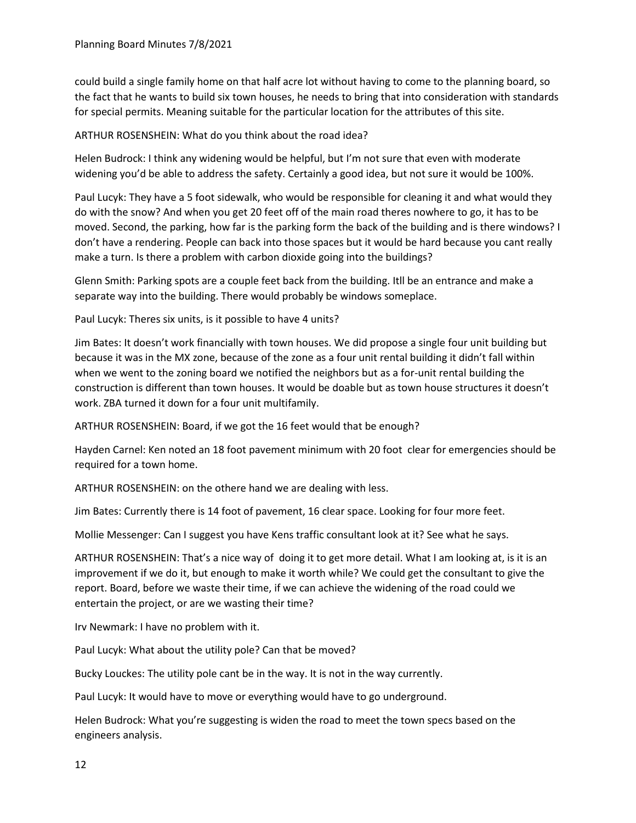could build a single family home on that half acre lot without having to come to the planning board, so the fact that he wants to build six town houses, he needs to bring that into consideration with standards for special permits. Meaning suitable for the particular location for the attributes of this site.

ARTHUR ROSENSHEIN: What do you think about the road idea?

Helen Budrock: I think any widening would be helpful, but I'm not sure that even with moderate widening you'd be able to address the safety. Certainly a good idea, but not sure it would be 100%.

Paul Lucyk: They have a 5 foot sidewalk, who would be responsible for cleaning it and what would they do with the snow? And when you get 20 feet off of the main road theres nowhere to go, it has to be moved. Second, the parking, how far is the parking form the back of the building and is there windows? I don't have a rendering. People can back into those spaces but it would be hard because you cant really make a turn. Is there a problem with carbon dioxide going into the buildings?

Glenn Smith: Parking spots are a couple feet back from the building. Itll be an entrance and make a separate way into the building. There would probably be windows someplace.

Paul Lucyk: Theres six units, is it possible to have 4 units?

Jim Bates: It doesn't work financially with town houses. We did propose a single four unit building but because it was in the MX zone, because of the zone as a four unit rental building it didn't fall within when we went to the zoning board we notified the neighbors but as a for-unit rental building the construction is different than town houses. It would be doable but as town house structures it doesn't work. ZBA turned it down for a four unit multifamily.

ARTHUR ROSENSHEIN: Board, if we got the 16 feet would that be enough?

Hayden Carnel: Ken noted an 18 foot pavement minimum with 20 foot clear for emergencies should be required for a town home.

ARTHUR ROSENSHEIN: on the othere hand we are dealing with less.

Jim Bates: Currently there is 14 foot of pavement, 16 clear space. Looking for four more feet.

Mollie Messenger: Can I suggest you have Kens traffic consultant look at it? See what he says.

ARTHUR ROSENSHEIN: That's a nice way of doing it to get more detail. What I am looking at, is it is an improvement if we do it, but enough to make it worth while? We could get the consultant to give the report. Board, before we waste their time, if we can achieve the widening of the road could we entertain the project, or are we wasting their time?

Irv Newmark: I have no problem with it.

Paul Lucyk: What about the utility pole? Can that be moved?

Bucky Louckes: The utility pole cant be in the way. It is not in the way currently.

Paul Lucyk: It would have to move or everything would have to go underground.

Helen Budrock: What you're suggesting is widen the road to meet the town specs based on the engineers analysis.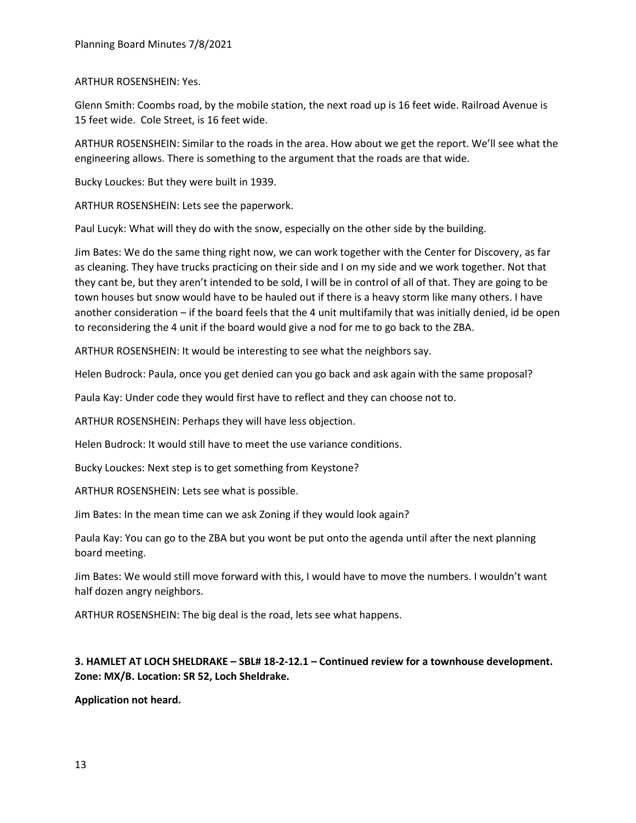## ARTHUR ROSENSHEIN: Yes.

Glenn Smith: Coombs road, by the mobile station, the next road up is 16 feet wide. Railroad Avenue is 15 feet wide. Cole Street, is 16 feet wide.

ARTHUR ROSENSHEIN: Similar to the roads in the area. How about we get the report. We'll see what the engineering allows. There is something to the argument that the roads are that wide.

Bucky Louckes: But they were built in 1939.

ARTHUR ROSENSHEIN: Lets see the paperwork.

Paul Lucyk: What will they do with the snow, especially on the other side by the building.

Jim Bates: We do the same thing right now, we can work together with the Center for Discovery, as far as cleaning. They have trucks practicing on their side and I on my side and we work together. Not that they cant be, but they aren't intended to be sold, I will be in control of all of that. They are going to be town houses but snow would have to be hauled out if there is a heavy storm like many others. I have another consideration – if the board feels that the 4 unit multifamily that was initially denied, id be open to reconsidering the 4 unit if the board would give a nod for me to go back to the ZBA.

ARTHUR ROSENSHEIN: It would be interesting to see what the neighbors say.

Helen Budrock: Paula, once you get denied can you go back and ask again with the same proposal?

Paula Kay: Under code they would first have to reflect and they can choose not to.

ARTHUR ROSENSHEIN: Perhaps they will have less objection.

Helen Budrock: It would still have to meet the use variance conditions.

Bucky Louckes: Next step is to get something from Keystone?

ARTHUR ROSENSHEIN: Lets see what is possible.

Jim Bates: In the mean time can we ask Zoning if they would look again?

Paula Kay: You can go to the ZBA but you wont be put onto the agenda until after the next planning board meeting.

Jim Bates: We would still move forward with this, I would have to move the numbers. I wouldn't want half dozen angry neighbors.

ARTHUR ROSENSHEIN: The big deal is the road, lets see what happens.

# **3. HAMLET AT LOCH SHELDRAKE – SBL# 18-2-12.1 – Continued review for a townhouse development. Zone: MX/B. Location: SR 52, Loch Sheldrake.**

**Application not heard.**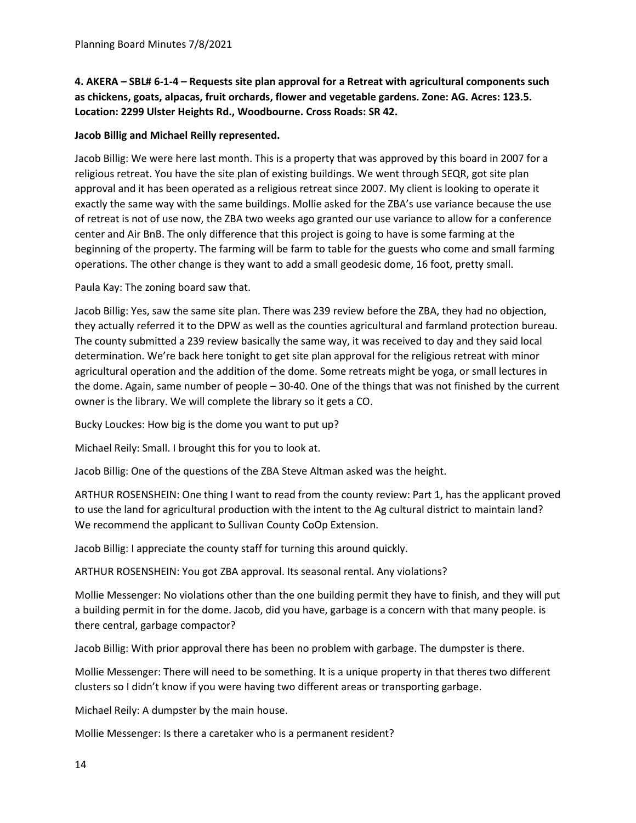**4. AKERA – SBL# 6-1-4 – Requests site plan approval for a Retreat with agricultural components such as chickens, goats, alpacas, fruit orchards, flower and vegetable gardens. Zone: AG. Acres: 123.5. Location: 2299 Ulster Heights Rd., Woodbourne. Cross Roads: SR 42.**

# **Jacob Billig and Michael Reilly represented.**

Jacob Billig: We were here last month. This is a property that was approved by this board in 2007 for a religious retreat. You have the site plan of existing buildings. We went through SEQR, got site plan approval and it has been operated as a religious retreat since 2007. My client is looking to operate it exactly the same way with the same buildings. Mollie asked for the ZBA's use variance because the use of retreat is not of use now, the ZBA two weeks ago granted our use variance to allow for a conference center and Air BnB. The only difference that this project is going to have is some farming at the beginning of the property. The farming will be farm to table for the guests who come and small farming operations. The other change is they want to add a small geodesic dome, 16 foot, pretty small.

Paula Kay: The zoning board saw that.

Jacob Billig: Yes, saw the same site plan. There was 239 review before the ZBA, they had no objection, they actually referred it to the DPW as well as the counties agricultural and farmland protection bureau. The county submitted a 239 review basically the same way, it was received to day and they said local determination. We're back here tonight to get site plan approval for the religious retreat with minor agricultural operation and the addition of the dome. Some retreats might be yoga, or small lectures in the dome. Again, same number of people – 30-40. One of the things that was not finished by the current owner is the library. We will complete the library so it gets a CO.

Bucky Louckes: How big is the dome you want to put up?

Michael Reily: Small. I brought this for you to look at.

Jacob Billig: One of the questions of the ZBA Steve Altman asked was the height.

ARTHUR ROSENSHEIN: One thing I want to read from the county review: Part 1, has the applicant proved to use the land for agricultural production with the intent to the Ag cultural district to maintain land? We recommend the applicant to Sullivan County CoOp Extension.

Jacob Billig: I appreciate the county staff for turning this around quickly.

ARTHUR ROSENSHEIN: You got ZBA approval. Its seasonal rental. Any violations?

Mollie Messenger: No violations other than the one building permit they have to finish, and they will put a building permit in for the dome. Jacob, did you have, garbage is a concern with that many people. is there central, garbage compactor?

Jacob Billig: With prior approval there has been no problem with garbage. The dumpster is there.

Mollie Messenger: There will need to be something. It is a unique property in that theres two different clusters so I didn't know if you were having two different areas or transporting garbage.

Michael Reily: A dumpster by the main house.

Mollie Messenger: Is there a caretaker who is a permanent resident?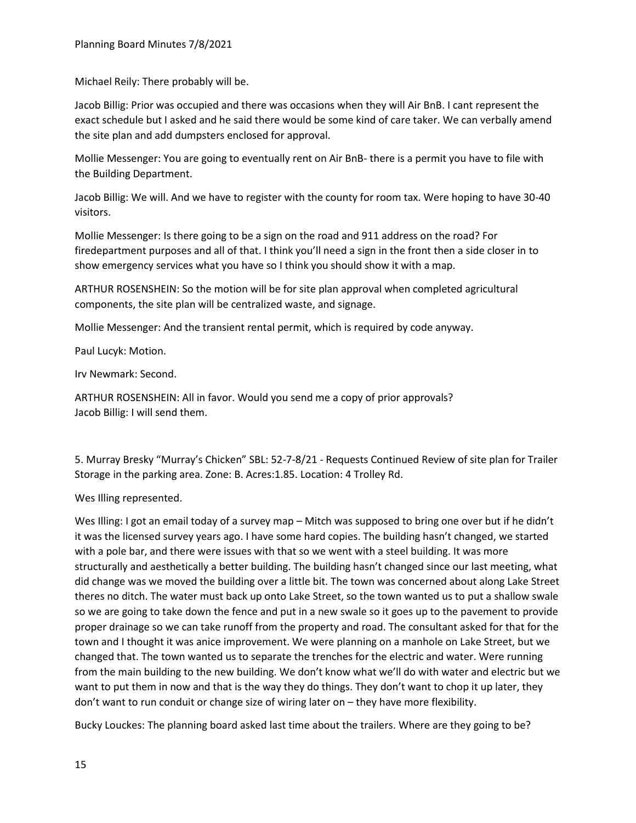Michael Reily: There probably will be.

Jacob Billig: Prior was occupied and there was occasions when they will Air BnB. I cant represent the exact schedule but I asked and he said there would be some kind of care taker. We can verbally amend the site plan and add dumpsters enclosed for approval.

Mollie Messenger: You are going to eventually rent on Air BnB- there is a permit you have to file with the Building Department.

Jacob Billig: We will. And we have to register with the county for room tax. Were hoping to have 30-40 visitors.

Mollie Messenger: Is there going to be a sign on the road and 911 address on the road? For firedepartment purposes and all of that. I think you'll need a sign in the front then a side closer in to show emergency services what you have so I think you should show it with a map.

ARTHUR ROSENSHEIN: So the motion will be for site plan approval when completed agricultural components, the site plan will be centralized waste, and signage.

Mollie Messenger: And the transient rental permit, which is required by code anyway.

Paul Lucyk: Motion.

Irv Newmark: Second.

ARTHUR ROSENSHEIN: All in favor. Would you send me a copy of prior approvals? Jacob Billig: I will send them.

5. Murray Bresky "Murray's Chicken" SBL: 52-7-8/21 - Requests Continued Review of site plan for Trailer Storage in the parking area. Zone: B. Acres:1.85. Location: 4 Trolley Rd.

Wes Illing represented.

Wes Illing: I got an email today of a survey map – Mitch was supposed to bring one over but if he didn't it was the licensed survey years ago. I have some hard copies. The building hasn't changed, we started with a pole bar, and there were issues with that so we went with a steel building. It was more structurally and aesthetically a better building. The building hasn't changed since our last meeting, what did change was we moved the building over a little bit. The town was concerned about along Lake Street theres no ditch. The water must back up onto Lake Street, so the town wanted us to put a shallow swale so we are going to take down the fence and put in a new swale so it goes up to the pavement to provide proper drainage so we can take runoff from the property and road. The consultant asked for that for the town and I thought it was anice improvement. We were planning on a manhole on Lake Street, but we changed that. The town wanted us to separate the trenches for the electric and water. Were running from the main building to the new building. We don't know what we'll do with water and electric but we want to put them in now and that is the way they do things. They don't want to chop it up later, they don't want to run conduit or change size of wiring later on – they have more flexibility.

Bucky Louckes: The planning board asked last time about the trailers. Where are they going to be?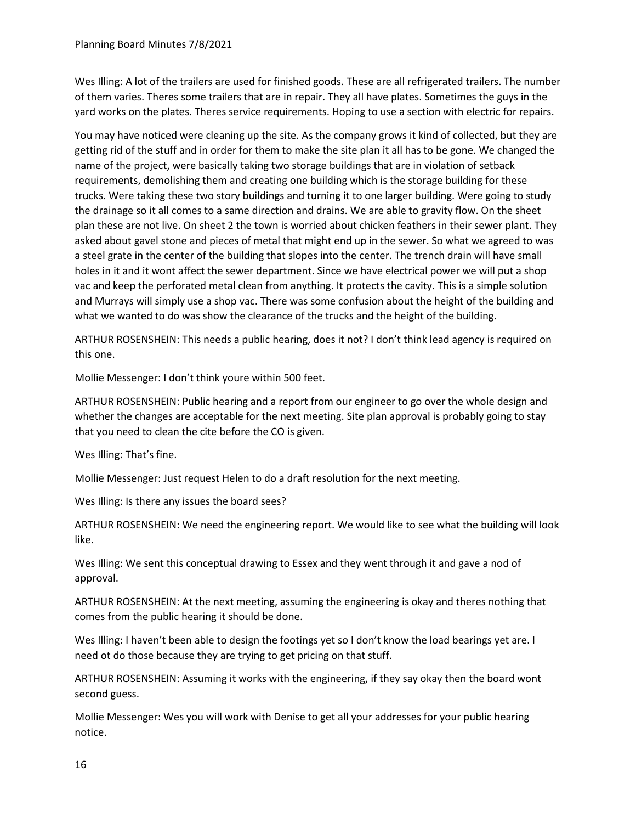Wes Illing: A lot of the trailers are used for finished goods. These are all refrigerated trailers. The number of them varies. Theres some trailers that are in repair. They all have plates. Sometimes the guys in the yard works on the plates. Theres service requirements. Hoping to use a section with electric for repairs.

You may have noticed were cleaning up the site. As the company grows it kind of collected, but they are getting rid of the stuff and in order for them to make the site plan it all has to be gone. We changed the name of the project, were basically taking two storage buildings that are in violation of setback requirements, demolishing them and creating one building which is the storage building for these trucks. Were taking these two story buildings and turning it to one larger building. Were going to study the drainage so it all comes to a same direction and drains. We are able to gravity flow. On the sheet plan these are not live. On sheet 2 the town is worried about chicken feathers in their sewer plant. They asked about gavel stone and pieces of metal that might end up in the sewer. So what we agreed to was a steel grate in the center of the building that slopes into the center. The trench drain will have small holes in it and it wont affect the sewer department. Since we have electrical power we will put a shop vac and keep the perforated metal clean from anything. It protects the cavity. This is a simple solution and Murrays will simply use a shop vac. There was some confusion about the height of the building and what we wanted to do was show the clearance of the trucks and the height of the building.

ARTHUR ROSENSHEIN: This needs a public hearing, does it not? I don't think lead agency is required on this one.

Mollie Messenger: I don't think youre within 500 feet.

ARTHUR ROSENSHEIN: Public hearing and a report from our engineer to go over the whole design and whether the changes are acceptable for the next meeting. Site plan approval is probably going to stay that you need to clean the cite before the CO is given.

Wes Illing: That's fine.

Mollie Messenger: Just request Helen to do a draft resolution for the next meeting.

Wes Illing: Is there any issues the board sees?

ARTHUR ROSENSHEIN: We need the engineering report. We would like to see what the building will look like.

Wes Illing: We sent this conceptual drawing to Essex and they went through it and gave a nod of approval.

ARTHUR ROSENSHEIN: At the next meeting, assuming the engineering is okay and theres nothing that comes from the public hearing it should be done.

Wes Illing: I haven't been able to design the footings yet so I don't know the load bearings yet are. I need ot do those because they are trying to get pricing on that stuff.

ARTHUR ROSENSHEIN: Assuming it works with the engineering, if they say okay then the board wont second guess.

Mollie Messenger: Wes you will work with Denise to get all your addresses for your public hearing notice.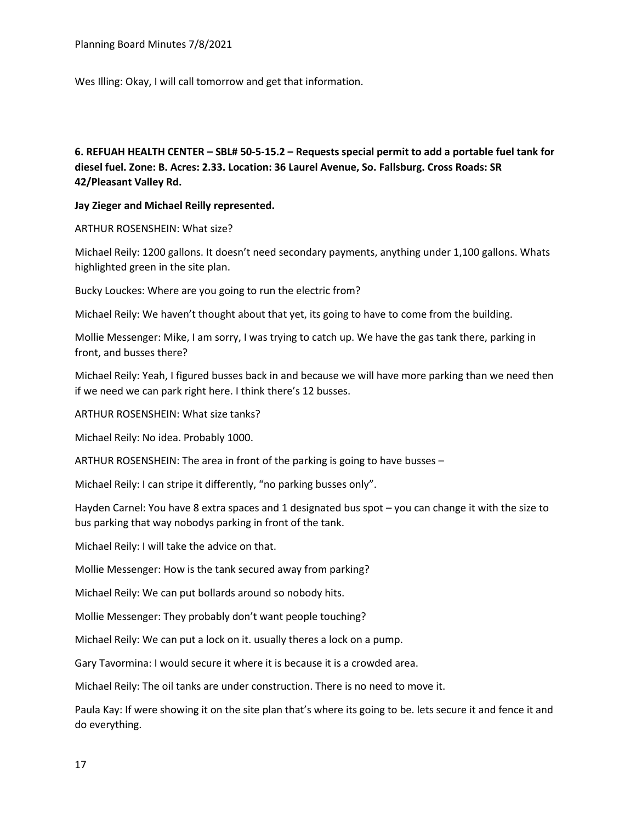Planning Board Minutes 7/8/2021

Wes Illing: Okay, I will call tomorrow and get that information.

**6. REFUAH HEALTH CENTER – SBL# 50-5-15.2 – Requests special permit to add a portable fuel tank for diesel fuel. Zone: B. Acres: 2.33. Location: 36 Laurel Avenue, So. Fallsburg. Cross Roads: SR 42/Pleasant Valley Rd.**

### **Jay Zieger and Michael Reilly represented.**

ARTHUR ROSENSHEIN: What size?

Michael Reily: 1200 gallons. It doesn't need secondary payments, anything under 1,100 gallons. Whats highlighted green in the site plan.

Bucky Louckes: Where are you going to run the electric from?

Michael Reily: We haven't thought about that yet, its going to have to come from the building.

Mollie Messenger: Mike, I am sorry, I was trying to catch up. We have the gas tank there, parking in front, and busses there?

Michael Reily: Yeah, I figured busses back in and because we will have more parking than we need then if we need we can park right here. I think there's 12 busses.

ARTHUR ROSENSHEIN: What size tanks?

Michael Reily: No idea. Probably 1000.

ARTHUR ROSENSHEIN: The area in front of the parking is going to have busses –

Michael Reily: I can stripe it differently, "no parking busses only".

Hayden Carnel: You have 8 extra spaces and 1 designated bus spot – you can change it with the size to bus parking that way nobodys parking in front of the tank.

Michael Reily: I will take the advice on that.

Mollie Messenger: How is the tank secured away from parking?

Michael Reily: We can put bollards around so nobody hits.

Mollie Messenger: They probably don't want people touching?

Michael Reily: We can put a lock on it. usually theres a lock on a pump.

Gary Tavormina: I would secure it where it is because it is a crowded area.

Michael Reily: The oil tanks are under construction. There is no need to move it.

Paula Kay: If were showing it on the site plan that's where its going to be. lets secure it and fence it and do everything.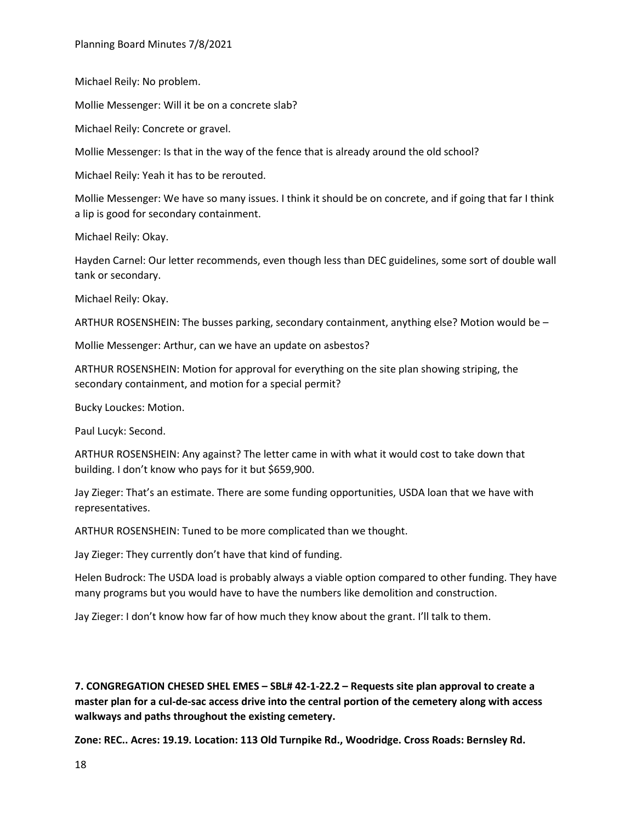Michael Reily: No problem.

Mollie Messenger: Will it be on a concrete slab?

Michael Reily: Concrete or gravel.

Mollie Messenger: Is that in the way of the fence that is already around the old school?

Michael Reily: Yeah it has to be rerouted.

Mollie Messenger: We have so many issues. I think it should be on concrete, and if going that far I think a lip is good for secondary containment.

Michael Reily: Okay.

Hayden Carnel: Our letter recommends, even though less than DEC guidelines, some sort of double wall tank or secondary.

Michael Reily: Okay.

ARTHUR ROSENSHEIN: The busses parking, secondary containment, anything else? Motion would be –

Mollie Messenger: Arthur, can we have an update on asbestos?

ARTHUR ROSENSHEIN: Motion for approval for everything on the site plan showing striping, the secondary containment, and motion for a special permit?

Bucky Louckes: Motion.

Paul Lucyk: Second.

ARTHUR ROSENSHEIN: Any against? The letter came in with what it would cost to take down that building. I don't know who pays for it but \$659,900.

Jay Zieger: That's an estimate. There are some funding opportunities, USDA loan that we have with representatives.

ARTHUR ROSENSHEIN: Tuned to be more complicated than we thought.

Jay Zieger: They currently don't have that kind of funding.

Helen Budrock: The USDA load is probably always a viable option compared to other funding. They have many programs but you would have to have the numbers like demolition and construction.

Jay Zieger: I don't know how far of how much they know about the grant. I'll talk to them.

**7. CONGREGATION CHESED SHEL EMES – SBL# 42-1-22.2 – Requests site plan approval to create a master plan for a cul-de-sac access drive into the central portion of the cemetery along with access walkways and paths throughout the existing cemetery.**

**Zone: REC.. Acres: 19.19. Location: 113 Old Turnpike Rd., Woodridge. Cross Roads: Bernsley Rd.**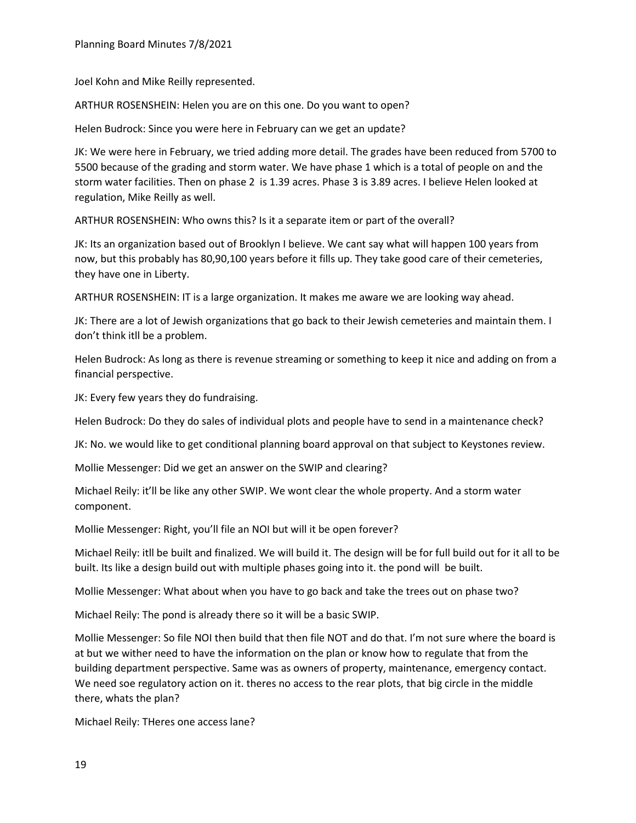Joel Kohn and Mike Reilly represented.

ARTHUR ROSENSHEIN: Helen you are on this one. Do you want to open?

Helen Budrock: Since you were here in February can we get an update?

JK: We were here in February, we tried adding more detail. The grades have been reduced from 5700 to 5500 because of the grading and storm water. We have phase 1 which is a total of people on and the storm water facilities. Then on phase 2 is 1.39 acres. Phase 3 is 3.89 acres. I believe Helen looked at regulation, Mike Reilly as well.

ARTHUR ROSENSHEIN: Who owns this? Is it a separate item or part of the overall?

JK: Its an organization based out of Brooklyn I believe. We cant say what will happen 100 years from now, but this probably has 80,90,100 years before it fills up. They take good care of their cemeteries, they have one in Liberty.

ARTHUR ROSENSHEIN: IT is a large organization. It makes me aware we are looking way ahead.

JK: There are a lot of Jewish organizations that go back to their Jewish cemeteries and maintain them. I don't think itll be a problem.

Helen Budrock: As long as there is revenue streaming or something to keep it nice and adding on from a financial perspective.

JK: Every few years they do fundraising.

Helen Budrock: Do they do sales of individual plots and people have to send in a maintenance check?

JK: No. we would like to get conditional planning board approval on that subject to Keystones review.

Mollie Messenger: Did we get an answer on the SWIP and clearing?

Michael Reily: it'll be like any other SWIP. We wont clear the whole property. And a storm water component.

Mollie Messenger: Right, you'll file an NOI but will it be open forever?

Michael Reily: itll be built and finalized. We will build it. The design will be for full build out for it all to be built. Its like a design build out with multiple phases going into it. the pond will be built.

Mollie Messenger: What about when you have to go back and take the trees out on phase two?

Michael Reily: The pond is already there so it will be a basic SWIP.

Mollie Messenger: So file NOI then build that then file NOT and do that. I'm not sure where the board is at but we wither need to have the information on the plan or know how to regulate that from the building department perspective. Same was as owners of property, maintenance, emergency contact. We need soe regulatory action on it. theres no access to the rear plots, that big circle in the middle there, whats the plan?

Michael Reily: THeres one access lane?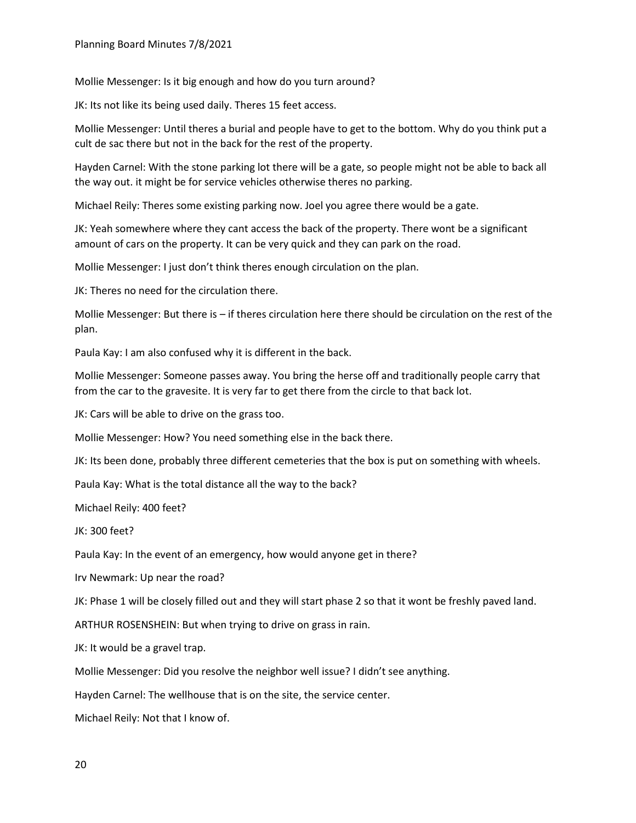Mollie Messenger: Is it big enough and how do you turn around?

JK: Its not like its being used daily. Theres 15 feet access.

Mollie Messenger: Until theres a burial and people have to get to the bottom. Why do you think put a cult de sac there but not in the back for the rest of the property.

Hayden Carnel: With the stone parking lot there will be a gate, so people might not be able to back all the way out. it might be for service vehicles otherwise theres no parking.

Michael Reily: Theres some existing parking now. Joel you agree there would be a gate.

JK: Yeah somewhere where they cant access the back of the property. There wont be a significant amount of cars on the property. It can be very quick and they can park on the road.

Mollie Messenger: I just don't think theres enough circulation on the plan.

JK: Theres no need for the circulation there.

Mollie Messenger: But there is – if theres circulation here there should be circulation on the rest of the plan.

Paula Kay: I am also confused why it is different in the back.

Mollie Messenger: Someone passes away. You bring the herse off and traditionally people carry that from the car to the gravesite. It is very far to get there from the circle to that back lot.

JK: Cars will be able to drive on the grass too.

Mollie Messenger: How? You need something else in the back there.

JK: Its been done, probably three different cemeteries that the box is put on something with wheels.

Paula Kay: What is the total distance all the way to the back?

Michael Reily: 400 feet?

JK: 300 feet?

Paula Kay: In the event of an emergency, how would anyone get in there?

Irv Newmark: Up near the road?

JK: Phase 1 will be closely filled out and they will start phase 2 so that it wont be freshly paved land.

ARTHUR ROSENSHEIN: But when trying to drive on grass in rain.

JK: It would be a gravel trap.

Mollie Messenger: Did you resolve the neighbor well issue? I didn't see anything.

Hayden Carnel: The wellhouse that is on the site, the service center.

Michael Reily: Not that I know of.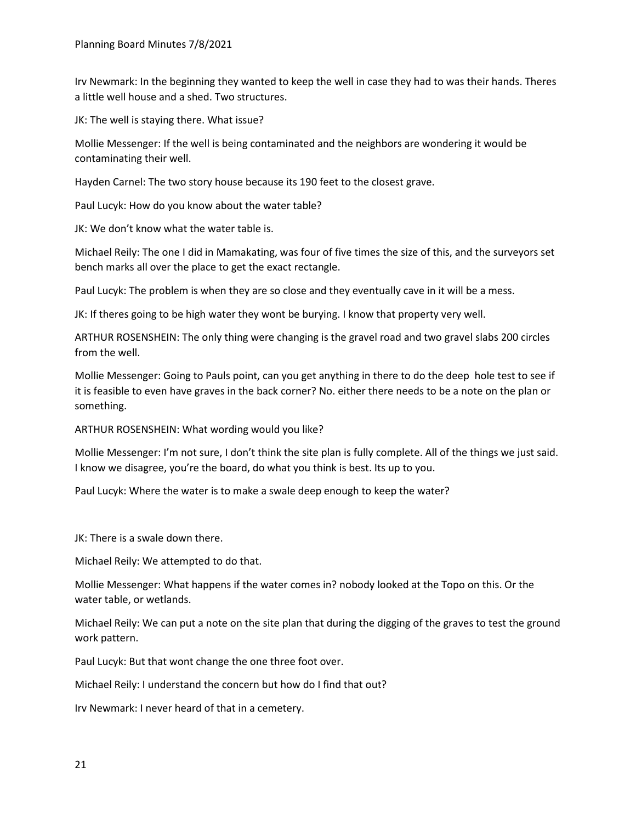Irv Newmark: In the beginning they wanted to keep the well in case they had to was their hands. Theres a little well house and a shed. Two structures.

JK: The well is staying there. What issue?

Mollie Messenger: If the well is being contaminated and the neighbors are wondering it would be contaminating their well.

Hayden Carnel: The two story house because its 190 feet to the closest grave.

Paul Lucyk: How do you know about the water table?

JK: We don't know what the water table is.

Michael Reily: The one I did in Mamakating, was four of five times the size of this, and the surveyors set bench marks all over the place to get the exact rectangle.

Paul Lucyk: The problem is when they are so close and they eventually cave in it will be a mess.

JK: If theres going to be high water they wont be burying. I know that property very well.

ARTHUR ROSENSHEIN: The only thing were changing is the gravel road and two gravel slabs 200 circles from the well.

Mollie Messenger: Going to Pauls point, can you get anything in there to do the deep hole test to see if it is feasible to even have graves in the back corner? No. either there needs to be a note on the plan or something.

ARTHUR ROSENSHEIN: What wording would you like?

Mollie Messenger: I'm not sure, I don't think the site plan is fully complete. All of the things we just said. I know we disagree, you're the board, do what you think is best. Its up to you.

Paul Lucyk: Where the water is to make a swale deep enough to keep the water?

JK: There is a swale down there.

Michael Reily: We attempted to do that.

Mollie Messenger: What happens if the water comes in? nobody looked at the Topo on this. Or the water table, or wetlands.

Michael Reily: We can put a note on the site plan that during the digging of the graves to test the ground work pattern.

Paul Lucyk: But that wont change the one three foot over.

Michael Reily: I understand the concern but how do I find that out?

Irv Newmark: I never heard of that in a cemetery.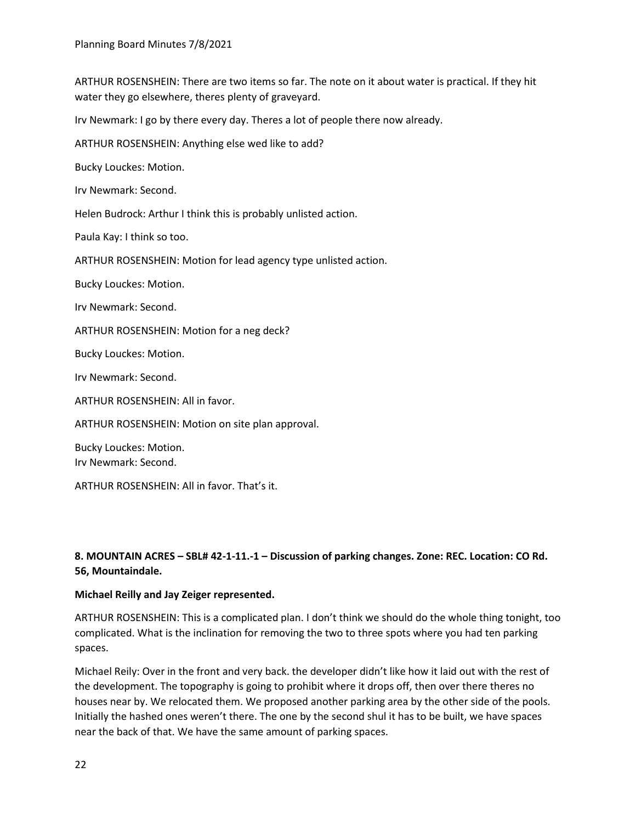ARTHUR ROSENSHEIN: There are two items so far. The note on it about water is practical. If they hit water they go elsewhere, theres plenty of graveyard.

Irv Newmark: I go by there every day. Theres a lot of people there now already.

ARTHUR ROSENSHEIN: Anything else wed like to add?

Bucky Louckes: Motion.

Irv Newmark: Second.

Helen Budrock: Arthur I think this is probably unlisted action.

Paula Kay: I think so too.

ARTHUR ROSENSHEIN: Motion for lead agency type unlisted action.

Bucky Louckes: Motion.

Irv Newmark: Second.

ARTHUR ROSENSHEIN: Motion for a neg deck?

Bucky Louckes: Motion.

Irv Newmark: Second.

ARTHUR ROSENSHEIN: All in favor.

ARTHUR ROSENSHEIN: Motion on site plan approval.

Bucky Louckes: Motion. Irv Newmark: Second.

ARTHUR ROSENSHEIN: All in favor. That's it.

# **8. MOUNTAIN ACRES – SBL# 42-1-11.-1 – Discussion of parking changes. Zone: REC. Location: CO Rd. 56, Mountaindale.**

### **Michael Reilly and Jay Zeiger represented.**

ARTHUR ROSENSHEIN: This is a complicated plan. I don't think we should do the whole thing tonight, too complicated. What is the inclination for removing the two to three spots where you had ten parking spaces.

Michael Reily: Over in the front and very back. the developer didn't like how it laid out with the rest of the development. The topography is going to prohibit where it drops off, then over there theres no houses near by. We relocated them. We proposed another parking area by the other side of the pools. Initially the hashed ones weren't there. The one by the second shul it has to be built, we have spaces near the back of that. We have the same amount of parking spaces.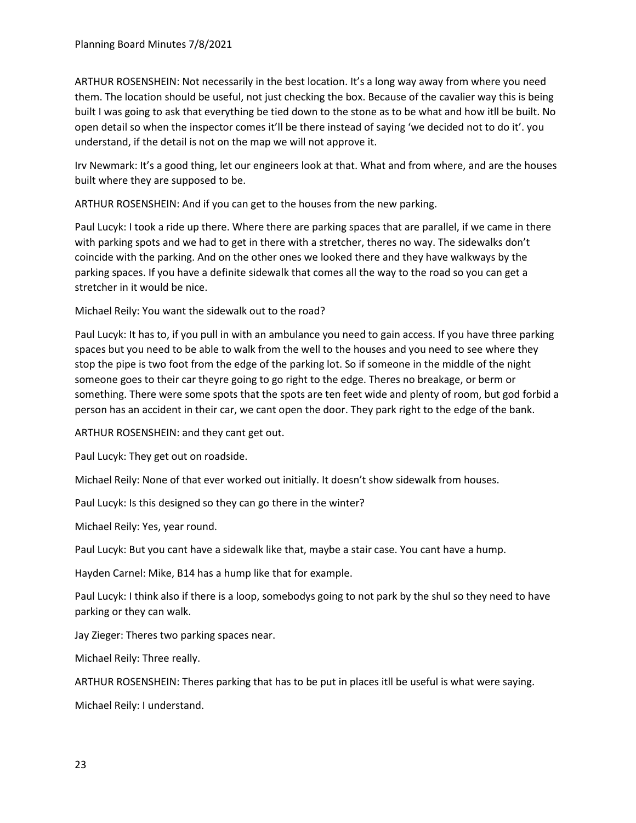ARTHUR ROSENSHEIN: Not necessarily in the best location. It's a long way away from where you need them. The location should be useful, not just checking the box. Because of the cavalier way this is being built I was going to ask that everything be tied down to the stone as to be what and how itll be built. No open detail so when the inspector comes it'll be there instead of saying 'we decided not to do it'. you understand, if the detail is not on the map we will not approve it.

Irv Newmark: It's a good thing, let our engineers look at that. What and from where, and are the houses built where they are supposed to be.

ARTHUR ROSENSHEIN: And if you can get to the houses from the new parking.

Paul Lucyk: I took a ride up there. Where there are parking spaces that are parallel, if we came in there with parking spots and we had to get in there with a stretcher, theres no way. The sidewalks don't coincide with the parking. And on the other ones we looked there and they have walkways by the parking spaces. If you have a definite sidewalk that comes all the way to the road so you can get a stretcher in it would be nice.

Michael Reily: You want the sidewalk out to the road?

Paul Lucyk: It has to, if you pull in with an ambulance you need to gain access. If you have three parking spaces but you need to be able to walk from the well to the houses and you need to see where they stop the pipe is two foot from the edge of the parking lot. So if someone in the middle of the night someone goes to their car theyre going to go right to the edge. Theres no breakage, or berm or something. There were some spots that the spots are ten feet wide and plenty of room, but god forbid a person has an accident in their car, we cant open the door. They park right to the edge of the bank.

ARTHUR ROSENSHEIN: and they cant get out.

Paul Lucyk: They get out on roadside.

Michael Reily: None of that ever worked out initially. It doesn't show sidewalk from houses.

Paul Lucyk: Is this designed so they can go there in the winter?

Michael Reily: Yes, year round.

Paul Lucyk: But you cant have a sidewalk like that, maybe a stair case. You cant have a hump.

Hayden Carnel: Mike, B14 has a hump like that for example.

Paul Lucyk: I think also if there is a loop, somebodys going to not park by the shul so they need to have parking or they can walk.

Jay Zieger: Theres two parking spaces near.

Michael Reily: Three really.

ARTHUR ROSENSHEIN: Theres parking that has to be put in places itll be useful is what were saying.

Michael Reily: I understand.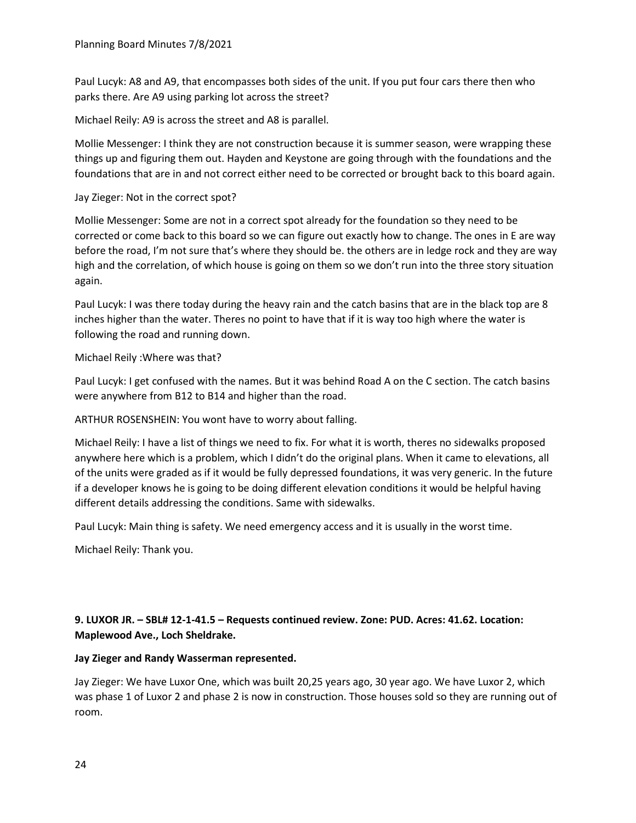Paul Lucyk: A8 and A9, that encompasses both sides of the unit. If you put four cars there then who parks there. Are A9 using parking lot across the street?

Michael Reily: A9 is across the street and A8 is parallel.

Mollie Messenger: I think they are not construction because it is summer season, were wrapping these things up and figuring them out. Hayden and Keystone are going through with the foundations and the foundations that are in and not correct either need to be corrected or brought back to this board again.

# Jay Zieger: Not in the correct spot?

Mollie Messenger: Some are not in a correct spot already for the foundation so they need to be corrected or come back to this board so we can figure out exactly how to change. The ones in E are way before the road, I'm not sure that's where they should be. the others are in ledge rock and they are way high and the correlation, of which house is going on them so we don't run into the three story situation again.

Paul Lucyk: I was there today during the heavy rain and the catch basins that are in the black top are 8 inches higher than the water. Theres no point to have that if it is way too high where the water is following the road and running down.

Michael Reily :Where was that?

Paul Lucyk: I get confused with the names. But it was behind Road A on the C section. The catch basins were anywhere from B12 to B14 and higher than the road.

# ARTHUR ROSENSHEIN: You wont have to worry about falling.

Michael Reily: I have a list of things we need to fix. For what it is worth, theres no sidewalks proposed anywhere here which is a problem, which I didn't do the original plans. When it came to elevations, all of the units were graded as if it would be fully depressed foundations, it was very generic. In the future if a developer knows he is going to be doing different elevation conditions it would be helpful having different details addressing the conditions. Same with sidewalks.

Paul Lucyk: Main thing is safety. We need emergency access and it is usually in the worst time.

Michael Reily: Thank you.

# **9. LUXOR JR. – SBL# 12-1-41.5 – Requests continued review. Zone: PUD. Acres: 41.62. Location: Maplewood Ave., Loch Sheldrake.**

# **Jay Zieger and Randy Wasserman represented.**

Jay Zieger: We have Luxor One, which was built 20,25 years ago, 30 year ago. We have Luxor 2, which was phase 1 of Luxor 2 and phase 2 is now in construction. Those houses sold so they are running out of room.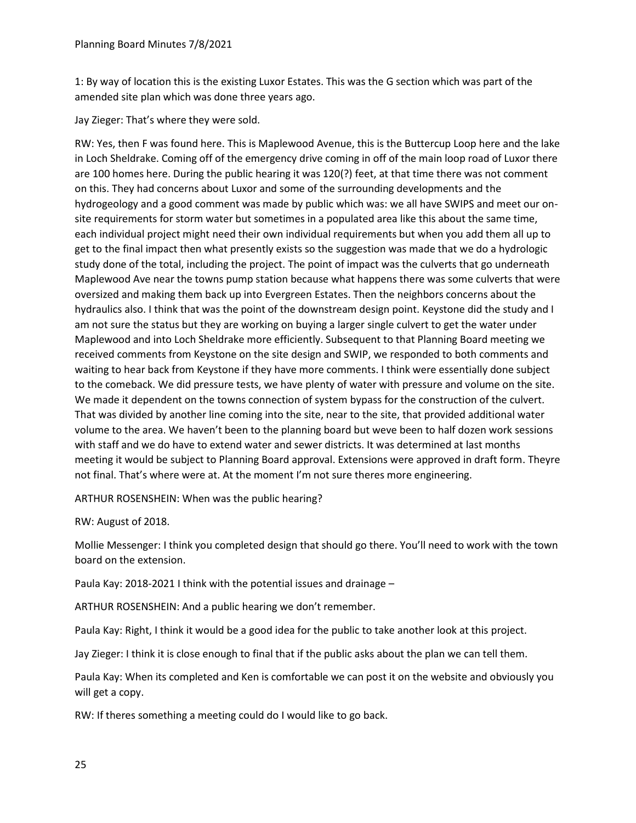1: By way of location this is the existing Luxor Estates. This was the G section which was part of the amended site plan which was done three years ago.

Jay Zieger: That's where they were sold.

RW: Yes, then F was found here. This is Maplewood Avenue, this is the Buttercup Loop here and the lake in Loch Sheldrake. Coming off of the emergency drive coming in off of the main loop road of Luxor there are 100 homes here. During the public hearing it was 120(?) feet, at that time there was not comment on this. They had concerns about Luxor and some of the surrounding developments and the hydrogeology and a good comment was made by public which was: we all have SWIPS and meet our onsite requirements for storm water but sometimes in a populated area like this about the same time, each individual project might need their own individual requirements but when you add them all up to get to the final impact then what presently exists so the suggestion was made that we do a hydrologic study done of the total, including the project. The point of impact was the culverts that go underneath Maplewood Ave near the towns pump station because what happens there was some culverts that were oversized and making them back up into Evergreen Estates. Then the neighbors concerns about the hydraulics also. I think that was the point of the downstream design point. Keystone did the study and I am not sure the status but they are working on buying a larger single culvert to get the water under Maplewood and into Loch Sheldrake more efficiently. Subsequent to that Planning Board meeting we received comments from Keystone on the site design and SWIP, we responded to both comments and waiting to hear back from Keystone if they have more comments. I think were essentially done subject to the comeback. We did pressure tests, we have plenty of water with pressure and volume on the site. We made it dependent on the towns connection of system bypass for the construction of the culvert. That was divided by another line coming into the site, near to the site, that provided additional water volume to the area. We haven't been to the planning board but weve been to half dozen work sessions with staff and we do have to extend water and sewer districts. It was determined at last months meeting it would be subject to Planning Board approval. Extensions were approved in draft form. Theyre not final. That's where were at. At the moment I'm not sure theres more engineering.

ARTHUR ROSENSHEIN: When was the public hearing?

RW: August of 2018.

Mollie Messenger: I think you completed design that should go there. You'll need to work with the town board on the extension.

Paula Kay: 2018-2021 I think with the potential issues and drainage –

ARTHUR ROSENSHEIN: And a public hearing we don't remember.

Paula Kay: Right, I think it would be a good idea for the public to take another look at this project.

Jay Zieger: I think it is close enough to final that if the public asks about the plan we can tell them.

Paula Kay: When its completed and Ken is comfortable we can post it on the website and obviously you will get a copy.

RW: If theres something a meeting could do I would like to go back.